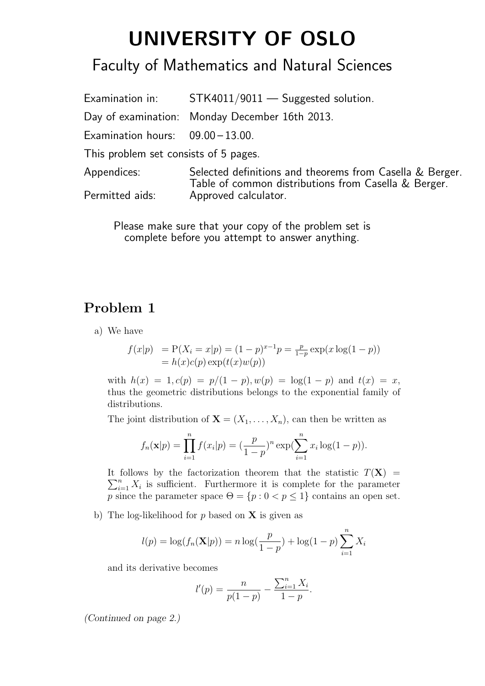# **UNIVERSITY OF OSLO**

## Faculty of Mathematics and Natural Sciences

Examination in: STK4011/9011 — Suggested solution. Day of examination: Monday December 16th 2013. Examination hours:  $09.00 - 13.00$ . This problem set consists of 5 pages. Appendices: Selected definitions and theorems from Casella & Berger. Table of common distributions from Casella & Berger. Permitted aids: Approved calculator.

Please make sure that your copy of the problem set is complete before you attempt to answer anything.

#### **Problem 1**

a) We have

$$
f(x|p) = P(X_i = x|p) = (1 - p)^{x-1}p = \frac{p}{1-p} \exp(x \log(1-p))
$$
  
=  $h(x)c(p) \exp(t(x)w(p))$ 

with  $h(x) = 1, c(p) = p/(1-p), w(p) = \log(1-p)$  and  $t(x) = x$ , thus the geometric distributions belongs to the exponential family of distributions.

The joint distribution of  $\mathbf{X} = (X_1, \ldots, X_n)$ , can then be written as

$$
f_n(\mathbf{x}|p) = \prod_{i=1}^n f(x_i|p) = \left(\frac{p}{1-p}\right)^n \exp\left(\sum_{i=1}^n x_i \log(1-p)\right).
$$

It follows by the factorization theorem that the statistic  $T(\mathbf{X}) =$  $\sum_{i=1}^{n} X_i$  is sufficient. Furthermore it is complete for the parameter *p* since the parameter space  $\Theta = \{p : 0 \le p \le 1\}$  contains an open set.

b) The log-likelihood for *p* based on **X** is given as

$$
l(p) = \log(f_n(\mathbf{X}|p)) = n \log(\frac{p}{1-p}) + \log(1-p) \sum_{i=1}^{n} X_i
$$

and its derivative becomes

$$
l'(p) = \frac{n}{p(1-p)} - \frac{\sum_{i=1}^{n} X_i}{1-p}.
$$

*(Continued on page 2.)*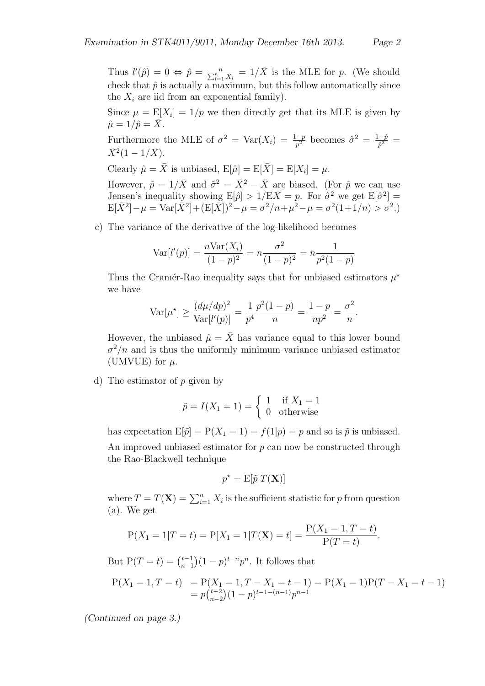Thus  $l'(\hat{p}) = 0 \Leftrightarrow \hat{p} = \frac{n}{\sum_{i=1}^{n} X_i} = 1/\bar{X}$  is the MLE for *p*. (We should check that  $\hat{p}$  is actually a maximum, but this follow automatically since the  $X_i$  are iid from an exponential family).

Since  $\mu = \mathbb{E}[X_i] = 1/p$  we then directly get that its MLE is given by  $\hat{\mu} = 1/\hat{p} = X.$ 

Furthermore the MLE of  $\sigma^2 = \text{Var}(X_i) = \frac{1-p}{p^2}$  becomes  $\hat{\sigma}^2 = \frac{1-p}{p^2}$  $\bar{X}^2(1-1/\bar{X}).$ 

Clearly  $\hat{\mu} = \bar{X}$  is unbiased,  $E[\hat{\mu}] = E[\bar{X}] = E[X_i] = \mu$ .

However,  $\hat{p} = 1/\bar{X}$  and  $\hat{\sigma}^2 = \bar{X}^2 - \bar{X}$  are biased. (For  $\hat{p}$  we can use Jensen's inequality showing  $E[\hat{p}] > 1/E\bar{X} = p$ . For  $\hat{\sigma}^2$  we get  $E[\hat{\sigma}^2] =$  $E[\bar{X}^2] - \mu = \text{Var}[\bar{X}^2] + (E[\bar{X}])^2 - \mu = \sigma^2/n + \mu^2 - \mu = \sigma^2(1+1/n) > \sigma^2.$ 

c) The variance of the derivative of the log-likelihood becomes

$$
Var[l'(p)] = \frac{nVar(X_i)}{(1-p)^2} = n\frac{\sigma^2}{(1-p)^2} = n\frac{1}{p^2(1-p)}
$$

Thus the Cramér-Rao inequality says that for unbiased estimators  $\mu^*$ we have

$$
\text{Var}[\mu^*] \ge \frac{(d\mu/dp)^2}{\text{Var}[l'(p)]} = \frac{1}{p^4} \frac{p^2(1-p)}{n} = \frac{1-p}{np^2} = \frac{\sigma^2}{n}.
$$

However, the unbiased  $\hat{\mu} = \bar{X}$  has variance equal to this lower bound  $\sigma^2/n$  and is thus the uniformly minimum variance unbiased estimator (UMVUE) for  $\mu$ .

d) The estimator of *p* given by

$$
\tilde{p} = I(X_1 = 1) = \begin{cases} 1 & \text{if } X_1 = 1 \\ 0 & \text{otherwise} \end{cases}
$$

has expectation  $E[\tilde{p}] = P(X_1 = 1) = f(1|p) = p$  and so is  $\tilde{p}$  is unbiased. An improved unbiased estimator for *p* can now be constructed through the Rao-Blackwell technique

$$
p^* = \mathbf{E}[\tilde{p}|T(\mathbf{X})]
$$

where  $T = T(\mathbf{X}) = \sum_{i=1}^{n} X_i$  is the sufficient statistic for *p* from question (a). We get

$$
P(X_1 = 1 | T = t) = P[X_1 = 1 | T(\mathbf{X}) = t] = \frac{P(X_1 = 1, T = t)}{P(T = t)}.
$$

But  $P(T = t) = \binom{t-1}{n-1}$ *n−*1 )(1 −  $p$ )<sup>*t*−*n*</sup> $p$ <sup>*n*</sup>. It follows that

$$
P(X_1 = 1, T = t) = P(X_1 = 1, T - X_1 = t - 1) = P(X_1 = 1)P(T - X_1 = t - 1)
$$
  
=  $p_{n-2}^{t-2}(1-p)^{t-1-(n-1)}p^{n-1}$ 

*(Continued on page 3.)*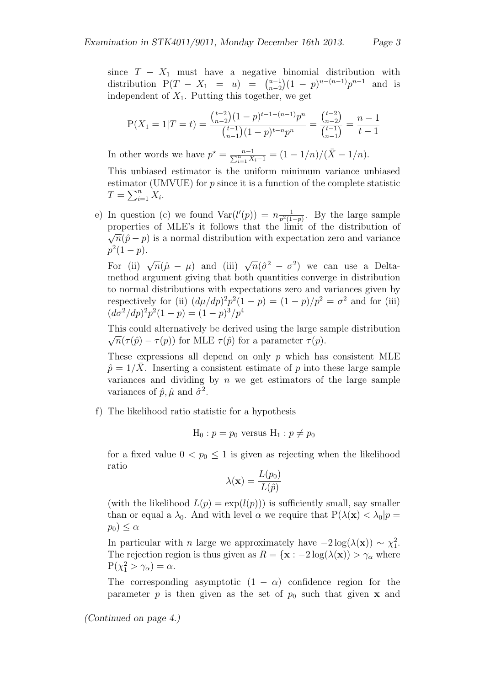since  $T - X_1$  must have a negative binomial distribution with distribution  $P(T - X_1 = u) = \binom{u-1}{n-2}$ *n−*2 (1 − *p*)<sup>*u*−(*n*−1)</sup>*p*<sup>*n*−1</sup> and is independent of  $X_1$ . Putting this together, we get

$$
P(X_1 = 1 | T = t) = \frac{\binom{t-2}{n-2} (1-p)^{t-1-(n-1)} p^n}{\binom{t-1}{n-1} (1-p)^{t-n} p^n} = \frac{\binom{t-2}{n-2}}{\binom{t-1}{n-1}} = \frac{n-1}{t-1}
$$

In other words we have  $p^* = \frac{n-1}{\sum_{i=1}^n X_i - 1} = (1 - 1/n)/(\bar{X} - 1/n)$ .

This unbiased estimator is the uniform minimum variance unbiased estimator (UMVUE) for *p* since it is a function of the complete statistic  $T = \sum_{i=1}^{n} X_i$ .

e) In question (c) we found  $Var(l'(p)) = n \frac{1}{n^2(1-p)}$  $\frac{1}{p^2(1-p)}$ . By the large sample properties of MLE's it follows that the limit of the distribution of *√*  $\sqrt{n}(\hat{p} - p)$  is a normal distribution with expectation zero and variance  $p^2(1-p)$ .

For (ii)  $\sqrt{n}(\hat{\mu} - \mu)$  and (iii)  $\sqrt{n}(\hat{\sigma}^2 - \sigma^2)$  we can use a Deltamethod argument giving that both quantities converge in distribution to normal distributions with expectations zero and variances given by respectively for (ii)  $(d\mu/dp)^2 p^2 (1-p) = (1-p)/p^2 = \sigma^2$  and for (iii)  $(d\sigma^2/dp)^2p^2(1-p) = (1-p)^3/p^4$ 

This could alternatively be derived using the large sample distribution  $\sqrt{n}(\tau(\hat{p}) - \tau(p))$  for MLE  $\tau(\hat{p})$  for a parameter  $\tau(p)$ .

These expressions all depend on only *p* which has consistent MLE  $\hat{p} = 1/X$ . Inserting a consistent estimate of *p* into these large sample variances and dividing by *n* we get estimators of the large sample variances of  $\hat{p}, \hat{\mu}$  and  $\hat{\sigma}^2$ .

f) The likelihood ratio statistic for a hypothesis

$$
H_0: p = p_0
$$
 versus  $H_1: p \neq p_0$ 

for a fixed value  $0 < p_0 \leq 1$  is given as rejecting when the likelihood ratio

$$
\lambda(\mathbf{x}) = \frac{L(p_0)}{L(\hat{p})}
$$

(with the likelihood  $L(p) = \exp(l(p))$ ) is sufficiently small, say smaller than or equal a  $\lambda_0$ . And with level  $\alpha$  we require that  $P(\lambda(\mathbf{x}) < \lambda_0 | p =$  $p_0$ )  $\leq \alpha$ 

In particular with *n* large we approximately have  $-2 \log(\lambda(\mathbf{x})) \sim \chi_1^2$ . The rejection region is thus given as  $R = {\bf x} : -2 \log(\lambda({\bf x})) > \gamma_{\alpha}$  where  $P(\chi_1^2 > \gamma_\alpha) = \alpha.$ 

The corresponding asymptotic  $(1 - \alpha)$  confidence region for the parameter *p* is then given as the set of  $p_0$  such that given **x** and

*(Continued on page 4.)*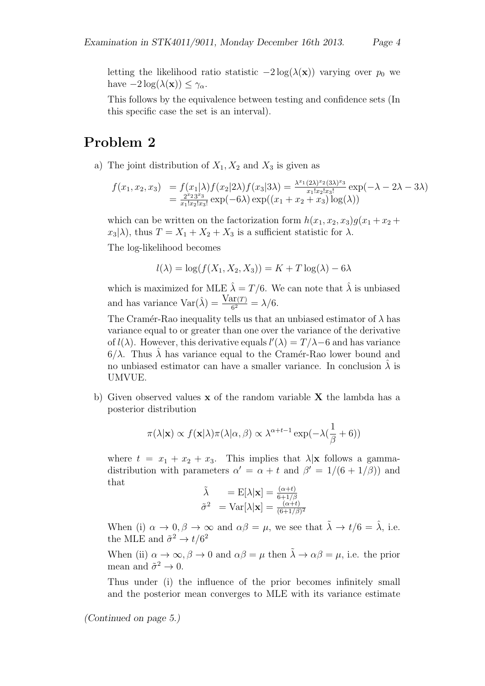letting the likelihood ratio statistic *−*2 log(*λ*(**x**)) varying over *p*<sup>0</sup> we have  $-2 \log(\lambda(\mathbf{x})) \leq \gamma_{\alpha}$ .

This follows by the equivalence between testing and confidence sets (In this specific case the set is an interval).

### **Problem 2**

a) The joint distribution of  $X_1, X_2$  and  $X_3$  is given as

$$
f(x_1, x_2, x_3) = f(x_1|\lambda) f(x_2|2\lambda) f(x_3|3\lambda) = \frac{\lambda^{x_1}(2\lambda)^{x_2}(3\lambda)^{x_3}}{x_1!x_2!x_3!} \exp(-\lambda - 2\lambda - 3\lambda)
$$
  
=  $\frac{2^{x_2}3^{x_3}}{x_1!x_2!x_3!} \exp(-6\lambda) \exp((x_1 + x_2 + x_3) \log(\lambda))$ 

which can be written on the factorization form  $h(x_1, x_2, x_3)g(x_1 + x_2 +$  $x_3|\lambda$ , thus  $T = X_1 + X_2 + X_3$  is a sufficient statistic for  $\lambda$ .

The log-likelihood becomes

$$
l(\lambda) = \log(f(X_1, X_2, X_3)) = K + T \log(\lambda) - 6\lambda
$$

which is maximized for MLE  $\hat{\lambda} = T/6$ . We can note that  $\hat{\lambda}$  is unbiased and has variance  $\text{Var}(\hat{\lambda}) = \frac{\text{Var}(T)}{6^2} = \lambda/6.$ 

The Cramér-Rao inequality tells us that an unbiased estimator of  $\lambda$  has variance equal to or greater than one over the variance of the derivative of  $l(\lambda)$ . However, this derivative equals  $l'(\lambda) = T/\lambda - 6$  and has variance  $6/\lambda$ . Thus  $\lambda$  has variance equal to the Cramer-Rao lower bound and no unbiased estimator can have a smaller variance. In conclusion  $\lambda$  is UMVUE.

b) Given observed values **x** of the random variable **X** the lambda has a posterior distribution

$$
\pi(\lambda|\mathbf{x}) \propto f(\mathbf{x}|\lambda)\pi(\lambda|\alpha,\beta) \propto \lambda^{\alpha+t-1} \exp(-\lambda(\frac{1}{\beta}+6))
$$

where  $t = x_1 + x_2 + x_3$ . This implies that  $\lambda | \mathbf{x}$  follows a gammadistribution with parameters  $\alpha' = \alpha + t$  and  $\beta' = 1/(6 + 1/\beta)$  and that

$$
\begin{array}{ll}\n\tilde{\lambda} & = \mathrm{E}[\lambda|\mathbf{x}] = \frac{(\alpha+t)}{6+1/\beta} \\
\tilde{\sigma}^2 & = \mathrm{Var}[\lambda|\mathbf{x}] = \frac{(\alpha+t)}{(6+1/\beta)^2}\n\end{array}
$$

When (i)  $\alpha \to 0, \beta \to \infty$  and  $\alpha\beta = \mu$ , we see that  $\tilde{\lambda} \to t/6 = \hat{\lambda}$ , i.e. the MLE and  $\tilde{\sigma}^2 \rightarrow t/6^2$ 

When (ii)  $\alpha \to \infty$ ,  $\beta \to 0$  and  $\alpha \beta = \mu$  then  $\tilde{\lambda} \to \alpha \beta = \mu$ , i.e. the prior mean and  $\tilde{\sigma}^2 \to 0$ .

Thus under (i) the influence of the prior becomes infinitely small and the posterior mean converges to MLE with its variance estimate

*(Continued on page 5.)*